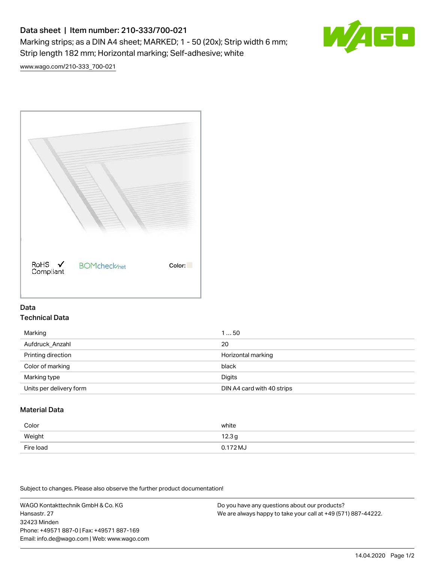# Data sheet | Item number: 210-333/700-021

Marking strips; as a DIN A4 sheet; MARKED; 1 - 50 (20x); Strip width 6 mm; Strip length 182 mm; Horizontal marking; Self-adhesive; white



[www.wago.com/210-333\\_700-021](http://www.wago.com/210-333_700-021)



### Data Technical Data

| Marking                 | 150                        |
|-------------------------|----------------------------|
| Aufdruck_Anzahl         | 20                         |
| Printing direction      | Horizontal marking         |
| Color of marking        | black                      |
| Marking type            | Digits                     |
| Units per delivery form | DIN A4 card with 40 strips |

## Material Data

| Color     | white             |
|-----------|-------------------|
| Weight    | 12.3 <sub>g</sub> |
| Fire load | $0.172 M_J$       |

Subject to changes. Please also observe the further product documentation!

WAGO Kontakttechnik GmbH & Co. KG Hansastr. 27 32423 Minden Phone: +49571 887-0 | Fax: +49571 887-169 Email: info.de@wago.com | Web: www.wago.com Do you have any questions about our products? We are always happy to take your call at +49 (571) 887-44222.